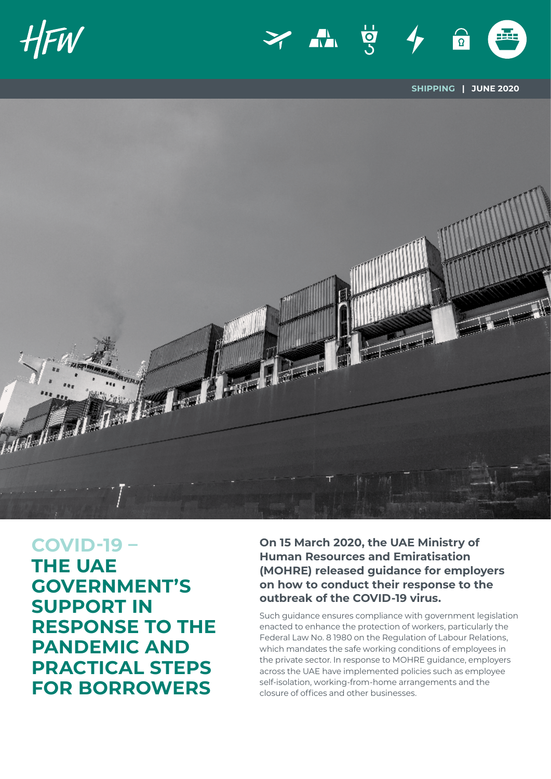





**SHIPPING | JUNE 2020**



**COVID-19 – THE UAE GOVERNMENT'S SUPPORT IN RESPONSE TO THE PANDEMIC AND PRACTICAL STEPS FOR BORROWERS**

**On 15 March 2020, the UAE Ministry of Human Resources and Emiratisation (MOHRE) released guidance for employers on how to conduct their response to the outbreak of the COVID-19 virus.** 

Such guidance ensures compliance with government legislation enacted to enhance the protection of workers, particularly the Federal Law No. 8 1980 on the Regulation of Labour Relations, which mandates the safe working conditions of employees in the private sector. In response to MOHRE guidance, employers across the UAE have implemented policies such as employee self-isolation, working-from-home arrangements and the closure of offices and other businesses.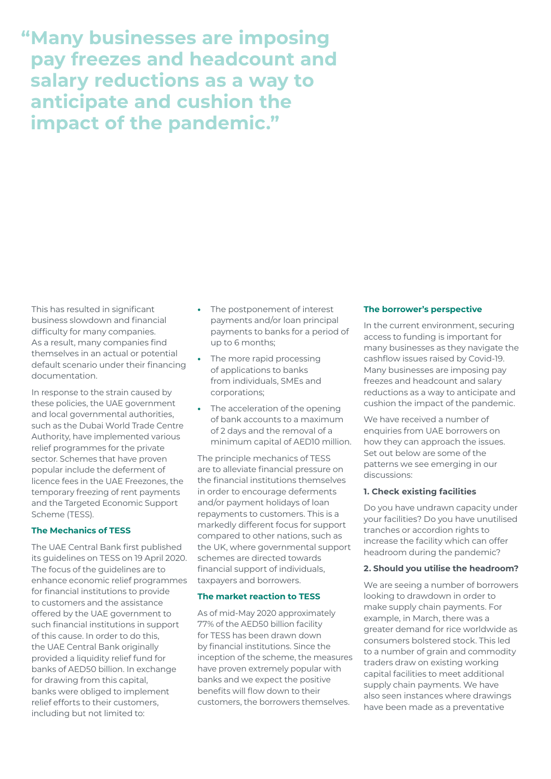**"Many businesses are imposing pay freezes and headcount and salary reductions as a way to anticipate and cushion the impact of the pandemic."**

This has resulted in significant business slowdown and financial difficulty for many companies. As a result, many companies find themselves in an actual or potential default scenario under their financing documentation.

In response to the strain caused by these policies, the UAE government and local governmental authorities, such as the Dubai World Trade Centre Authority, have implemented various relief programmes for the private sector. Schemes that have proven popular include the deferment of licence fees in the UAE Freezones, the temporary freezing of rent payments and the Targeted Economic Support Scheme (TESS).

# **The Mechanics of TESS**

The UAE Central Bank first published its guidelines on TESS on 19 April 2020. The focus of the guidelines are to enhance economic relief programmes for financial institutions to provide to customers and the assistance offered by the UAE government to such financial institutions in support of this cause. In order to do this, the UAE Central Bank originally provided a liquidity relief fund for banks of AED50 billion. In exchange for drawing from this capital, banks were obliged to implement relief efforts to their customers, including but not limited to:

- **•** The postponement of interest payments and/or loan principal payments to banks for a period of up to 6 months;
- **•** The more rapid processing of applications to banks from individuals, SMEs and corporations;
- **•** The acceleration of the opening of bank accounts to a maximum of 2 days and the removal of a minimum capital of AED10 million.

The principle mechanics of TESS are to alleviate financial pressure on the financial institutions themselves in order to encourage deferments and/or payment holidays of loan repayments to customers. This is a markedly different focus for support compared to other nations, such as the UK, where governmental support schemes are directed towards financial support of individuals, taxpayers and borrowers.

# **The market reaction to TESS**

As of mid-May 2020 approximately 77% of the AED50 billion facility for TESS has been drawn down by financial institutions. Since the inception of the scheme, the measures have proven extremely popular with banks and we expect the positive benefits will flow down to their customers, the borrowers themselves.

# **The borrower's perspective**

In the current environment, securing access to funding is important for many businesses as they navigate the cashflow issues raised by Covid-19. Many businesses are imposing pay freezes and headcount and salary reductions as a way to anticipate and cushion the impact of the pandemic.

We have received a number of enquiries from UAE borrowers on how they can approach the issues. Set out below are some of the patterns we see emerging in our discussions:

# **1. Check existing facilities**

Do you have undrawn capacity under your facilities? Do you have unutilised tranches or accordion rights to increase the facility which can offer headroom during the pandemic?

# **2. Should you utilise the headroom?**

We are seeing a number of borrowers looking to drawdown in order to make supply chain payments. For example, in March, there was a greater demand for rice worldwide as consumers bolstered stock. This led to a number of grain and commodity traders draw on existing working capital facilities to meet additional supply chain payments. We have also seen instances where drawings have been made as a preventative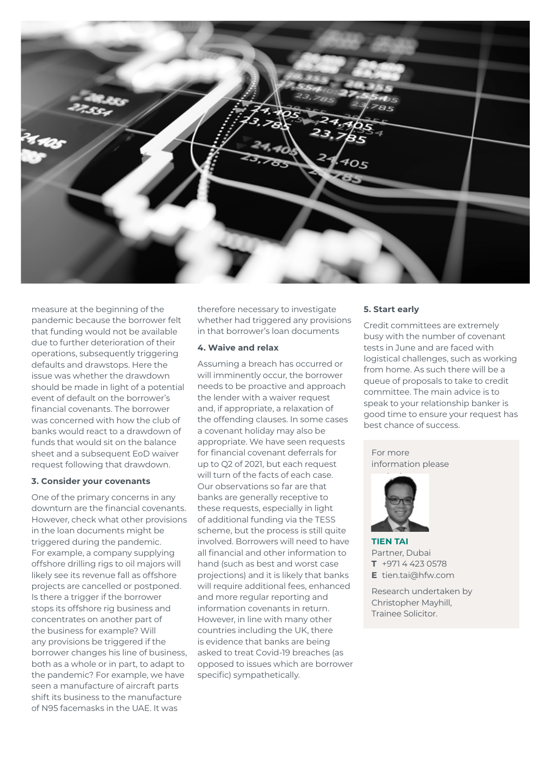

measure at the beginning of the pandemic because the borrower felt that funding would not be available due to further deterioration of their operations, subsequently triggering defaults and drawstops. Here the issue was whether the drawdown should be made in light of a potential event of default on the borrower's financial covenants. The borrower was concerned with how the club of banks would react to a drawdown of funds that would sit on the balance sheet and a subsequent EoD waiver request following that drawdown.

#### **3. Consider your covenants**

One of the primary concerns in any downturn are the financial covenants. However, check what other provisions in the loan documents might be triggered during the pandemic. For example, a company supplying offshore drilling rigs to oil majors will likely see its revenue fall as offshore projects are cancelled or postponed. Is there a trigger if the borrower stops its offshore rig business and concentrates on another part of the business for example? Will any provisions be triggered if the borrower changes his line of business, both as a whole or in part, to adapt to the pandemic? For example, we have seen a manufacture of aircraft parts shift its business to the manufacture of N95 facemasks in the UAE. It was

therefore necessary to investigate whether had triggered any provisions in that borrower's loan documents

#### **4. Waive and relax**

Assuming a breach has occurred or will imminently occur, the borrower needs to be proactive and approach the lender with a waiver request and, if appropriate, a relaxation of the offending clauses. In some cases a covenant holiday may also be appropriate. We have seen requests for financial covenant deferrals for up to Q2 of 2021, but each request will turn of the facts of each case. Our observations so far are that banks are generally receptive to these requests, especially in light of additional funding via the TESS scheme, but the process is still quite involved. Borrowers will need to have all financial and other information to hand (such as best and worst case projections) and it is likely that banks will require additional fees, enhanced and more regular reporting and information covenants in return. However, in line with many other countries including the UK, there is evidence that banks are being asked to treat Covid-19 breaches (as opposed to issues which are borrower specific) sympathetically.

#### **5. Start early**

Credit committees are extremely busy with the number of covenant tests in June and are faced with logistical challenges, such as working from home. As such there will be a queue of proposals to take to credit committee. The main advice is to speak to your relationship banker is good time to ensure your request has best chance of success.

For more information please



**TIEN TAI** Partner, Dubai **T** +971 4 423 0578 **E** tien.tai@hfw.com

Research undertaken by Christopher Mayhill, Trainee Solicitor.